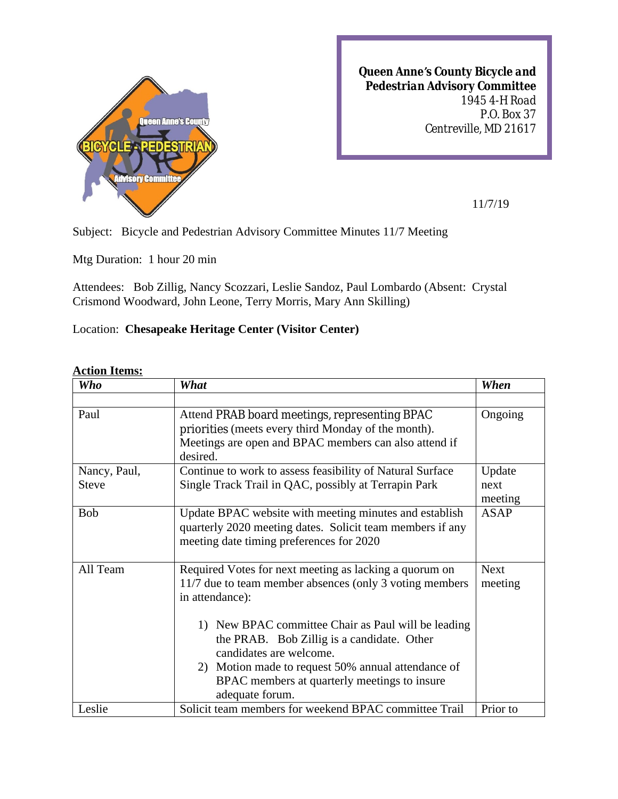

*Queen Anne's County Bicycle and Pedestrian Advisory Committee 1945 4-H Road P.O. Box 37 Centreville, MD 21617*

11/7/19

Subject: Bicycle and Pedestrian Advisory Committee Minutes 11/7 Meeting

Mtg Duration: 1 hour 20 min

Attendees: Bob Zillig, Nancy Scozzari, Leslie Sandoz, Paul Lombardo (Absent: Crystal Crismond Woodward, John Leone, Terry Morris, Mary Ann Skilling)

## Location: **Chesapeake Heritage Center (Visitor Center)**

## **Action Items:**

| <b>Who</b>   | What                                                      | When        |
|--------------|-----------------------------------------------------------|-------------|
|              |                                                           |             |
| Paul         | Attend PRAB board meetings, representing BPAC             | Ongoing     |
|              | priorities (meets every third Monday of the month).       |             |
|              | Meetings are open and BPAC members can also attend if     |             |
|              | desired.                                                  |             |
| Nancy, Paul, | Continue to work to assess feasibility of Natural Surface | Update      |
| <b>Steve</b> | Single Track Trail in QAC, possibly at Terrapin Park      | next        |
|              |                                                           | meeting     |
| <b>Bob</b>   | Update BPAC website with meeting minutes and establish    | <b>ASAP</b> |
|              | quarterly 2020 meeting dates. Solicit team members if any |             |
|              | meeting date timing preferences for 2020                  |             |
|              |                                                           |             |
| All Team     | Required Votes for next meeting as lacking a quorum on    | <b>Next</b> |
|              | 11/7 due to team member absences (only 3 voting members)  | meeting     |
|              | in attendance):                                           |             |
|              |                                                           |             |
|              | 1) New BPAC committee Chair as Paul will be leading       |             |
|              | the PRAB. Bob Zillig is a candidate. Other                |             |
|              | candidates are welcome.                                   |             |
|              | 2) Motion made to request 50% annual attendance of        |             |
|              | BPAC members at quarterly meetings to insure              |             |
|              | adequate forum.                                           |             |
| Leslie       | Solicit team members for weekend BPAC committee Trail     | Prior to    |